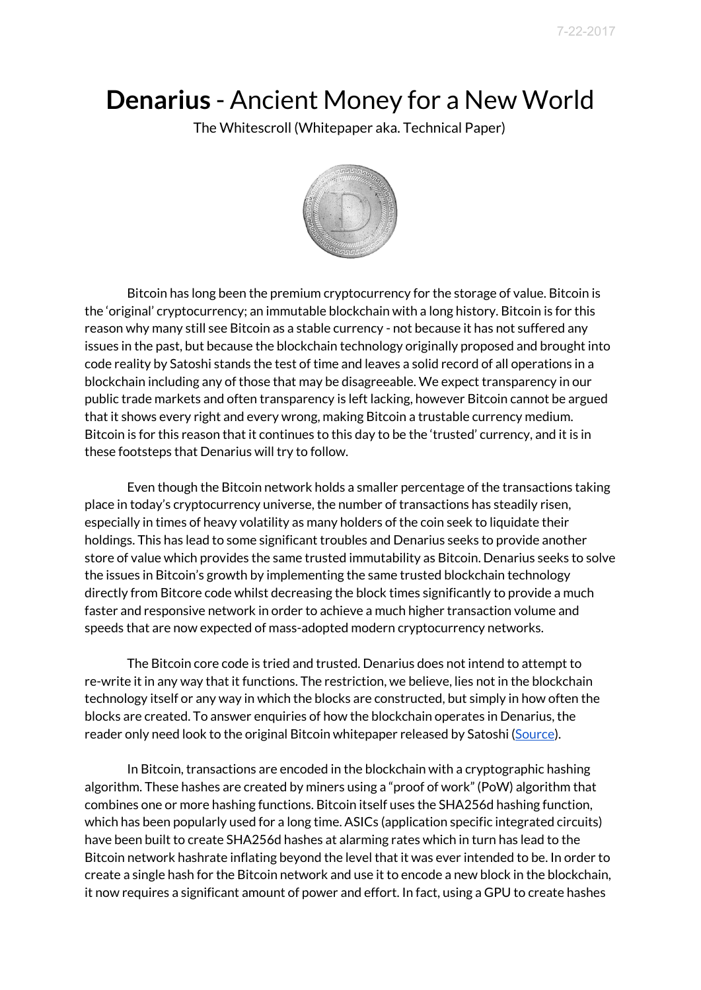# **Denarius** - Ancient Money for a New World

The Whitescroll (Whitepaper aka. Technical Paper)



Bitcoin has long been the premium cryptocurrency for the storage of value. Bitcoin is the 'original' cryptocurrency; an immutable blockchain with a long history. Bitcoin is for this reason why many still see Bitcoin as a stable currency - not because it has not suffered any issues in the past, but because the blockchain technology originally proposed and brought into code reality by Satoshi stands the test of time and leaves a solid record of all operations in a blockchain including any of those that may be disagreeable. We expect transparency in our public trade markets and often transparency is left lacking, however Bitcoin cannot be argued that it shows every right and every wrong, making Bitcoin a trustable currency medium. Bitcoin is for this reason that it continues to this day to be the 'trusted' currency, and it is in these footsteps that Denarius will try to follow.

Even though the Bitcoin network holds a smaller percentage of the transactions taking place in today's cryptocurrency universe, the number of transactions has steadily risen, especially in times of heavy volatility as many holders of the coin seek to liquidate their holdings. This has lead to some significant troubles and Denarius seeks to provide another store of value which provides the same trusted immutability as Bitcoin. Denarius seeks to solve the issues in Bitcoin's growth by implementing the same trusted blockchain technology directly from Bitcore code whilst decreasing the block times significantly to provide a much faster and responsive network in order to achieve a much higher transaction volume and speeds that are now expected of mass-adopted modern cryptocurrency networks.

The Bitcoin core code is tried and trusted. Denarius does not intend to attempt to re-write it in any way that it functions. The restriction, we believe, lies not in the blockchain technology itself or any way in which the blocks are constructed, but simply in how often the blocks are created. To answer enquiries of how the blockchain operates in Denarius, the reader only need look to the original Bitcoin whitepaper released by Satoshi [\(Source\)](https://bitcoin.org/bitcoin.pdf).

In Bitcoin, transactions are encoded in the blockchain with a cryptographic hashing algorithm. These hashes are created by miners using a "proof of work" (PoW) algorithm that combines one or more hashing functions. Bitcoin itself uses the SHA256d hashing function, which has been popularly used for a long time. ASICs (application specific integrated circuits) have been built to create SHA256d hashes at alarming rates which in turn has lead to the Bitcoin network hashrate inflating beyond the level that it was ever intended to be. In order to create a single hash for the Bitcoin network and use it to encode a new block in the blockchain, it now requires a significant amount of power and effort. In fact, using a GPU to create hashes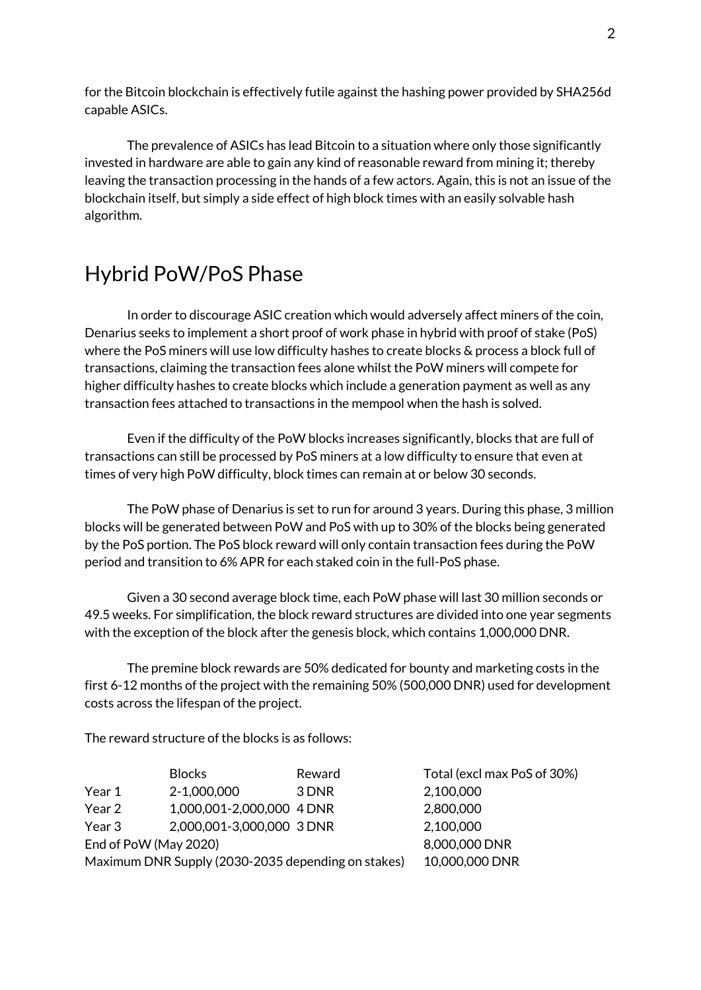for the Bitcoin blockchain is effectively futile against the hashing power provided by SHA256d capable ASICs.

The prevalence of ASICs has lead Bitcoin to a situation where only those significantly invested in hardware are able to gain any kind of reasonable reward from mining it; thereby leaving the transaction processing in the hands of a few actors. Again, this is not an issue of the blockchain itself, but simply a side effect of high block times with an easily solvable hash algorithm.

# Hybrid PoW/PoS Phase

In order to discourage ASIC creation which would adversely affect miners of the coin, Denarius seeks to implement a short proof of work phase in hybrid with proof of stake (PoS) where the PoS miners will use low difficulty hashes to create blocks & process a block full of transactions, claiming the transaction fees alone whilst the PoW miners will compete for higher difficulty hashes to create blocks which include a generation payment as well as any transaction fees attached to transactions in the mempool when the hash is solved.

Even if the difficulty of the PoW blocks increases significantly, blocks that are full of transactions can still be processed by PoS miners at a low difficulty to ensure that even at times of very high PoW difficulty, block times can remain at or below 30 seconds.

The PoW phase of Denarius is set to run for around 3 years. During this phase, 3 million blocks will be generated between PoW and PoS with up to 30% of the blocks being generated by the PoS portion. The PoS block reward will only contain transaction fees during the PoW period and transition to 6% APR for each staked coin in the full-PoS phase.

Given a 30 second average block time, each PoW phase will last 30 million seconds or 49.5 weeks. For simplification, the block reward structures are divided into one year segments with the exception of the block after the genesis block, which contains 1,000,000 DNR.

The premine block rewards are 50% dedicated for bounty and marketing costs in the first 6-12 months of the project with the remaining 50% (500,000 DNR) used for development costs across the lifespan of the project.

The reward structure of the blocks is as follows:

|                                                    | <b>Blocks</b>             | Reward | Total (excl max PoS of 30%) |
|----------------------------------------------------|---------------------------|--------|-----------------------------|
| Year 1                                             | 2-1,000,000               | 3 DNR  | 2,100,000                   |
| Year 2                                             | 1,000,001-2,000,000 4 DNR |        | 2,800,000                   |
| Year 3                                             | 2,000,001-3,000,000 3 DNR |        | 2,100,000                   |
| End of PoW (May 2020)                              |                           |        | 8,000,000 DNR               |
| Maximum DNR Supply (2030-2035 depending on stakes) |                           |        | 10,000,000 DNR              |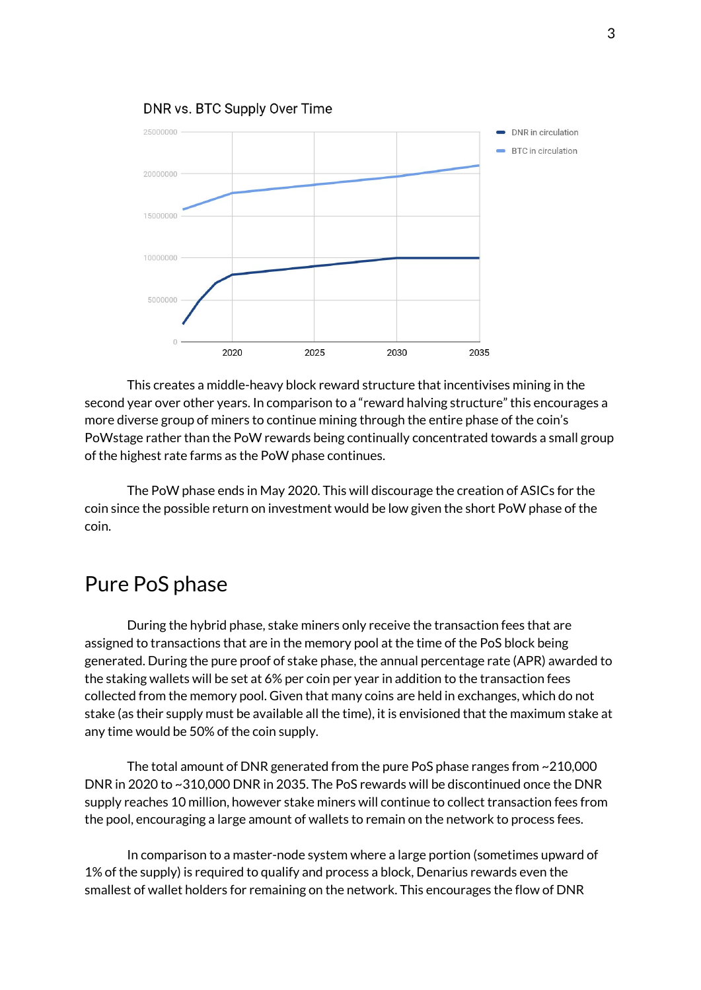

This creates a middle-heavy block reward structure that incentivises mining in the second year over other years. In comparison to a "reward halving structure" this encourages a more diverse group of miners to continue mining through the entire phase of the coin's PoWstage rather than the PoW rewards being continually concentrated towards a small group of the highest rate farms as the PoW phase continues.

The PoW phase ends in May 2020. This will discourage the creation of ASICs for the coin since the possible return on investment would be low given the short PoW phase of the coin.

# Pure PoS phase

During the hybrid phase, stake miners only receive the transaction fees that are assigned to transactions that are in the memory pool at the time of the PoS block being generated. During the pure proof of stake phase, the annual percentage rate (APR) awarded to the staking wallets will be set at 6% per coin per year in addition to the transaction fees collected from the memory pool. Given that many coins are held in exchanges, which do not stake (as their supply must be available all the time), it is envisioned that the maximum stake at any time would be 50% of the coin supply.

The total amount of DNR generated from the pure PoS phase ranges from ~210,000 DNR in 2020 to ~310,000 DNR in 2035. The PoS rewards will be discontinued once the DNR supply reaches 10 million, however stake miners will continue to collect transaction fees from the pool, encouraging a large amount of wallets to remain on the network to process fees.

In comparison to a master-node system where a large portion (sometimes upward of 1% of the supply) is required to qualify and process a block, Denarius rewards even the smallest of wallet holders for remaining on the network. This encourages the flow of DNR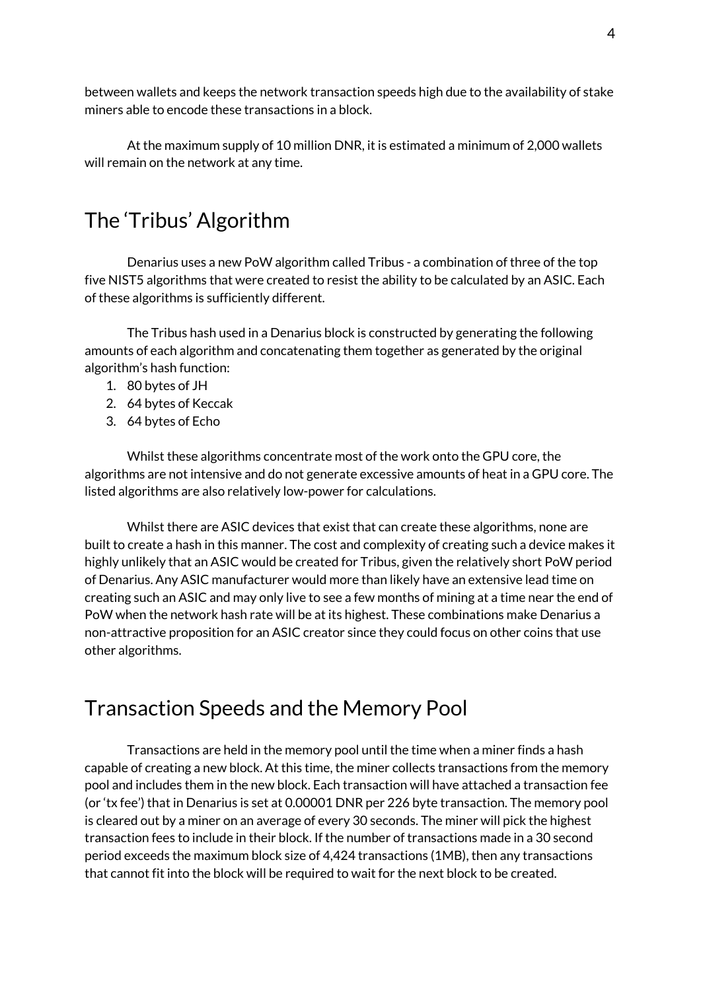between wallets and keeps the network transaction speeds high due to the availability of stake miners able to encode these transactions in a block.

At the maximum supply of 10 million DNR, it is estimated a minimum of 2,000 wallets will remain on the network at any time.

# The 'Tribus' Algorithm

Denarius uses a new PoW algorithm called Tribus - a combination of three of the top five NIST5 algorithms that were created to resist the ability to be calculated by an ASIC. Each of these algorithms is sufficiently different.

The Tribus hash used in a Denarius block is constructed by generating the following amounts of each algorithm and concatenating them together as generated by the original algorithm's hash function:

- 1. 80 bytes of JH
- 2. 64 bytes of Keccak
- 3. 64 bytes of Echo

Whilst these algorithms concentrate most of the work onto the GPU core, the algorithms are not intensive and do not generate excessive amounts of heat in a GPU core. The listed algorithms are also relatively low-power for calculations.

Whilst there are ASIC devices that exist that can create these algorithms, none are built to create a hash in this manner. The cost and complexity of creating such a device makes it highly unlikely that an ASIC would be created for Tribus, given the relatively short PoW period of Denarius. Any ASIC manufacturer would more than likely have an extensive lead time on creating such an ASIC and may only live to see a few months of mining at a time near the end of PoW when the network hash rate will be at its highest. These combinations make Denarius a non-attractive proposition for an ASIC creator since they could focus on other coins that use other algorithms.

# Transaction Speeds and the Memory Pool

Transactions are held in the memory pool until the time when a miner finds a hash capable of creating a new block. At this time, the miner collects transactions from the memory pool and includes them in the new block. Each transaction will have attached a transaction fee (or 'tx fee') that in Denarius is set at 0.00001 DNR per 226 byte transaction. The memory pool is cleared out by a miner on an average of every 30 seconds. The miner will pick the highest transaction fees to include in their block. If the number of transactions made in a 30 second period exceeds the maximum block size of 4,424 transactions (1MB), then any transactions that cannot fit into the block will be required to wait for the next block to be created.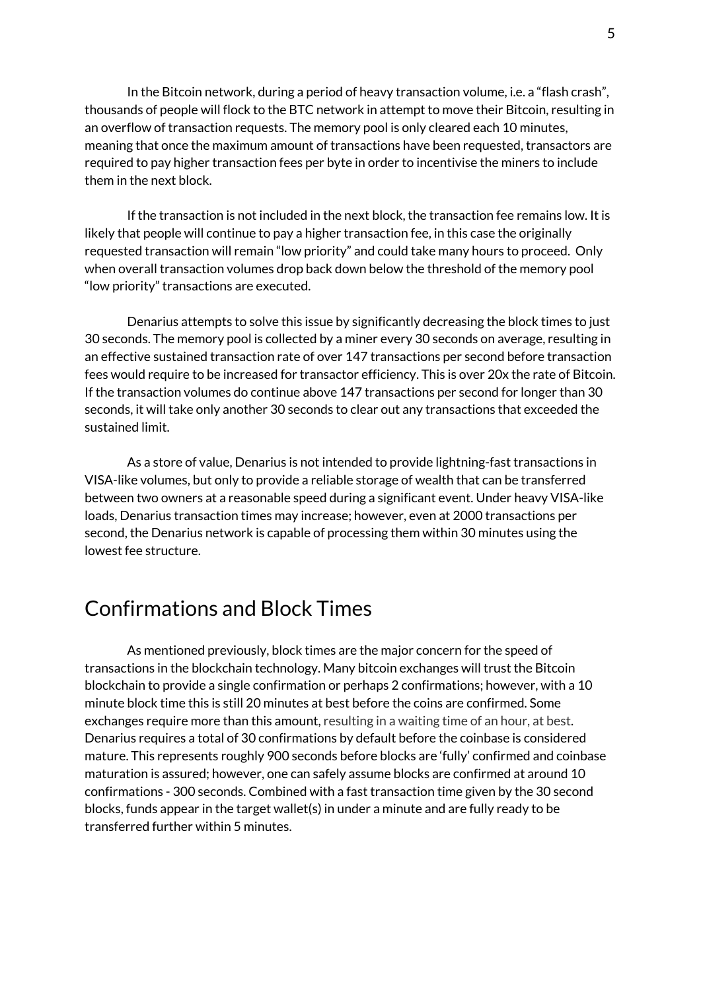In the Bitcoin network, during a period of heavy transaction volume, i.e. a "flash crash", thousands of people will flock to the BTC network in attempt to move their Bitcoin, resulting in an overflow of transaction requests. The memory pool is only cleared each 10 minutes, meaning that once the maximum amount of transactions have been requested, transactors are required to pay higher transaction fees per byte in order to incentivise the miners to include them in the next block.

If the transaction is not included in the next block, the transaction fee remains low. It is likely that people will continue to pay a higher transaction fee, in this case the originally requested transaction will remain "low priority" and could take many hours to proceed. Only when overall transaction volumes drop back down below the threshold of the memory pool "low priority" transactions are executed.

Denarius attempts to solve this issue by significantly decreasing the block times to just 30 seconds. The memory pool is collected by a miner every 30 seconds on average, resulting in an effective sustained transaction rate of over 147 transactions per second before transaction fees would require to be increased for transactor efficiency. This is over 20x the rate of Bitcoin. If the transaction volumes do continue above 147 transactions per second for longer than 30 seconds, it will take only another 30 seconds to clear out any transactions that exceeded the sustained limit.

As a store of value, Denarius is not intended to provide lightning-fast transactions in VISA-like volumes, but only to provide a reliable storage of wealth that can be transferred between two owners at a reasonable speed during a significant event. Under heavy VISA-like loads, Denarius transaction times may increase; however, even at 2000 transactions per second, the Denarius network is capable of processing them within 30 minutes using the lowest fee structure.

## Confirmations and Block Times

As mentioned previously, block times are the major concern for the speed of transactions in the blockchain technology. Many bitcoin exchanges will trust the Bitcoin blockchain to provide a single confirmation or perhaps 2 confirmations; however, with a 10 minute block time this is still 20 minutes at best before the coins are confirmed. Some exchanges require more than this amount, resulting in a waiting time of an hour, at best. Denarius requires a total of 30 confirmations by default before the coinbase is considered mature. This represents roughly 900 seconds before blocks are 'fully' confirmed and coinbase maturation is assured; however, one can safely assume blocks are confirmed at around 10 confirmations - 300 seconds. Combined with a fast transaction time given by the 30 second blocks, funds appear in the target wallet(s) in under a minute and are fully ready to be transferred further within 5 minutes.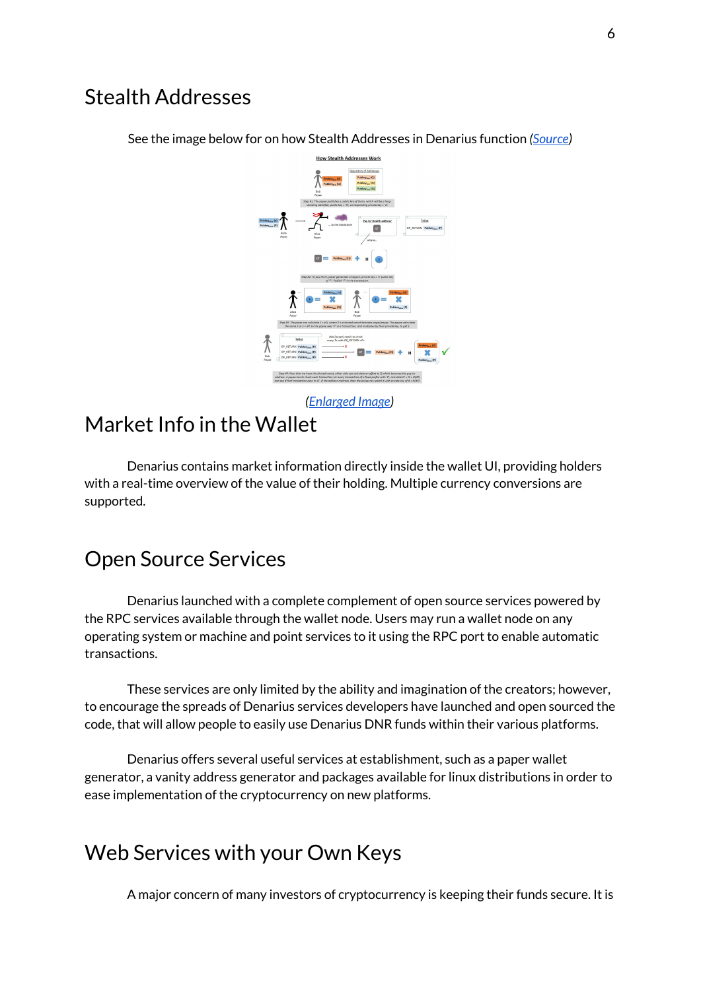#### Stealth Addresses



See the image below for on how Stealth Addresses in Denarius function *[\(Source\)](https://www.reddit.com/r/Bitcoin/comments/1v8jlc/how_stealth_addresses_work_image/)*

## Market Info in the Wallet

Denarius contains market information directly inside the wallet UI, providing holders with a real-time overview of the value of their holding. Multiple currency conversions are supported.

# Open Source Services

Denarius launched with a complete complement of open source services powered by the RPC services available through the wallet node. Users may run a wallet node on any operating system or machine and point services to it using the RPC port to enable automatic transactions.

These services are only limited by the ability and imagination of the creators; however, to encourage the spreads of Denarius services developers have launched and open sourced the code, that will allow people to easily use Denarius DNR funds within their various platforms.

Denarius offers several useful services at establishment, such as a paper wallet generator, a vanity address generator and packages available for linux distributions in order to ease implementation of the cryptocurrency on new platforms.

# Web Services with your Own Keys

A major concern of many investors of cryptocurrency is keeping their funds secure. It is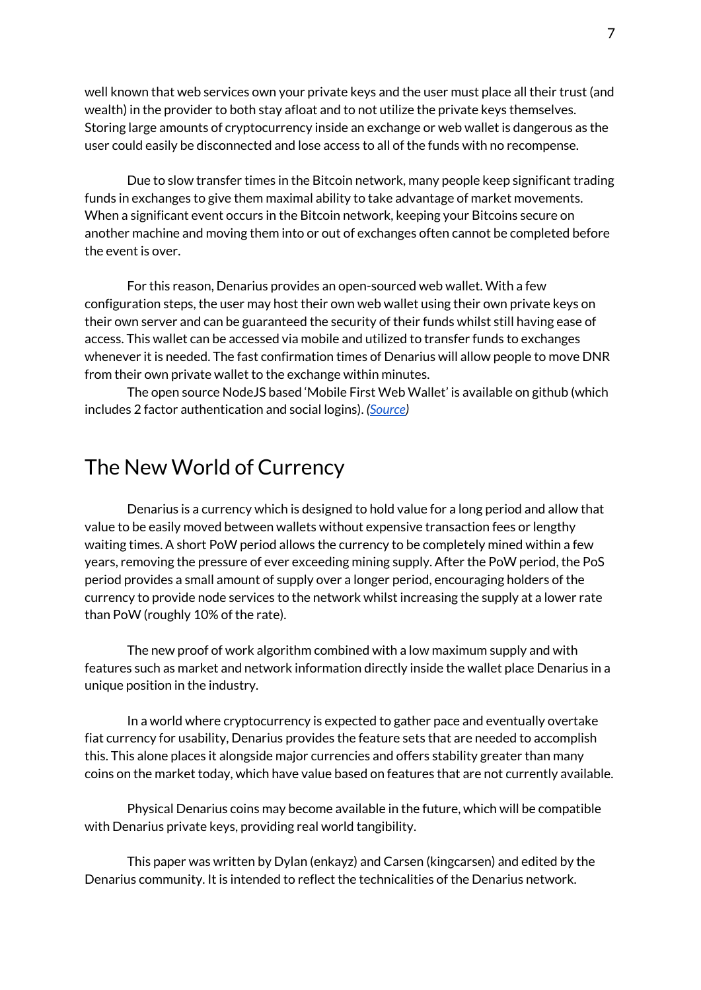well known that web services own your private keys and the user must place all their trust (and wealth) in the provider to both stay afloat and to not utilize the private keys themselves. Storing large amounts of cryptocurrency inside an exchange or web wallet is dangerous as the user could easily be disconnected and lose access to all of the funds with no recompense.

Due to slow transfer times in the Bitcoin network, many people keep significant trading funds in exchanges to give them maximal ability to take advantage of market movements. When a significant event occurs in the Bitcoin network, keeping your Bitcoins secure on another machine and moving them into or out of exchanges often cannot be completed before the event is over.

For this reason, Denarius provides an open-sourced web wallet. With a few configuration steps, the user may host their own web wallet using their own private keys on their own server and can be guaranteed the security of their funds whilst still having ease of access. This wallet can be accessed via mobile and utilized to transfer funds to exchanges whenever it is needed. The fast confirmation times of Denarius will allow people to move DNR from their own private wallet to the exchange within minutes.

The open source NodeJS based 'Mobile First Web Wallet' is available on github (which includes 2 factor authentication and social logins). *([Source](https://github.com/carsenk/denariusnodewallet))*

## The New World of Currency

Denarius is a currency which is designed to hold value for a long period and allow that value to be easily moved between wallets without expensive transaction fees or lengthy waiting times. A short PoW period allows the currency to be completely mined within a few years, removing the pressure of ever exceeding mining supply. After the PoW period, the PoS period provides a small amount of supply over a longer period, encouraging holders of the currency to provide node services to the network whilst increasing the supply at a lower rate than PoW (roughly 10% of the rate).

The new proof of work algorithm combined with a low maximum supply and with features such as market and network information directly inside the wallet place Denarius in a unique position in the industry.

In a world where cryptocurrency is expected to gather pace and eventually overtake fiat currency for usability, Denarius provides the feature sets that are needed to accomplish this. This alone places it alongside major currencies and offers stability greater than many coins on the market today, which have value based on features that are not currently available.

Physical Denarius coins may become available in the future, which will be compatible with Denarius private keys, providing real world tangibility.

This paper was written by Dylan (enkayz) and Carsen (kingcarsen) and edited by the Denarius community. It is intended to reflect the technicalities of the Denarius network.